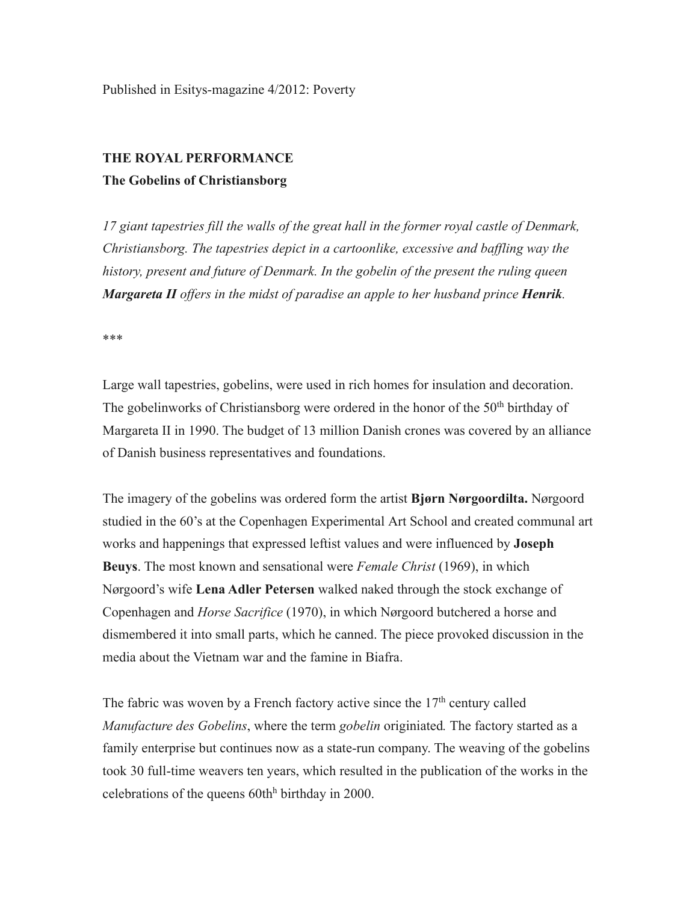# **THE ROYAL PERFORMANCE**

## **The Gobelins of Christiansborg**

*17 giant tapestries fill the walls of the great hall in the former royal castle of Denmark, Christiansborg. The tapestries depict in a cartoonlike, excessive and baffling way the history, present and future of Denmark. In the gobelin of the present the ruling queen Margareta II offers in the midst of paradise an apple to her husband prince Henrik.*

\*\*\*

Large wall tapestries, gobelins, were used in rich homes for insulation and decoration. The gobelinworks of Christiansborg were ordered in the honor of the  $50<sup>th</sup>$  birthday of Margareta II in 1990. The budget of 13 million Danish crones was covered by an alliance of Danish business representatives and foundations.

The imagery of the gobelins was ordered form the artist **Bjørn Nørgoordilta.** Nørgoord studied in the 60's at the Copenhagen Experimental Art School and created communal art works and happenings that expressed leftist values and were influenced by **Joseph Beuys**. The most known and sensational were *Female Christ* (1969), in which Nørgoord's wife **Lena Adler Petersen** walked naked through the stock exchange of Copenhagen and *Horse Sacrifice* (1970), in which Nørgoord butchered a horse and dismembered it into small parts, which he canned. The piece provoked discussion in the media about the Vietnam war and the famine in Biafra.

The fabric was woven by a French factory active since the  $17<sup>th</sup>$  century called *Manufacture des Gobelins*, where the term *gobelin* originiated*.* The factory started as a family enterprise but continues now as a state-run company. The weaving of the gobelins took 30 full-time weavers ten years, which resulted in the publication of the works in the celebrations of the queens  $60th<sup>h</sup>$  birthday in 2000.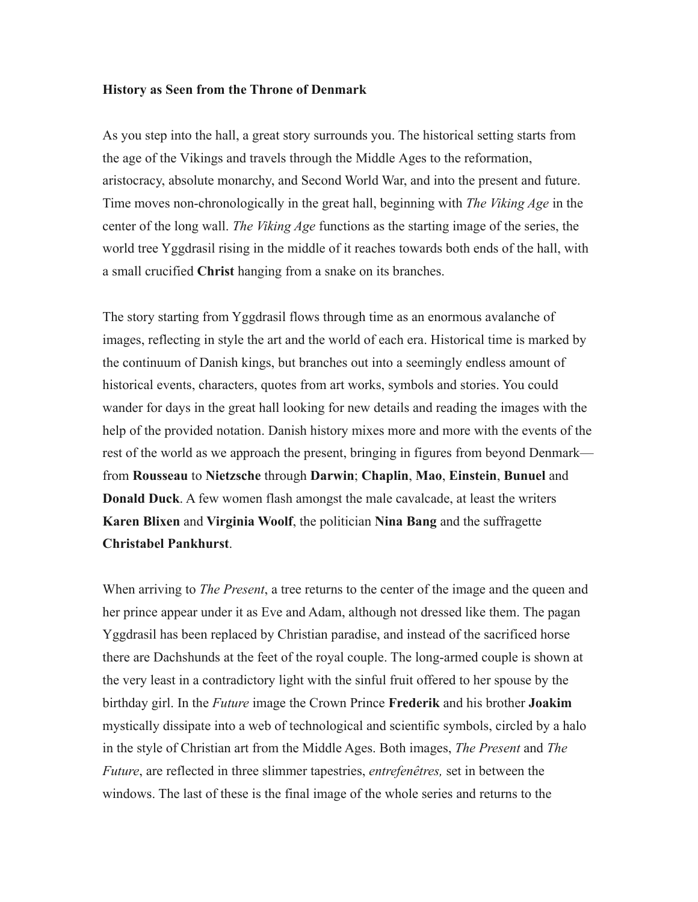#### **History as Seen from the Throne of Denmark**

As you step into the hall, a great story surrounds you. The historical setting starts from the age of the Vikings and travels through the Middle Ages to the reformation, aristocracy, absolute monarchy, and Second World War, and into the present and future. Time moves non-chronologically in the great hall, beginning with *The Viking Age* in the center of the long wall. *The Viking Age* functions as the starting image of the series, the world tree Yggdrasil rising in the middle of it reaches towards both ends of the hall, with a small crucified **Christ** hanging from a snake on its branches.

The story starting from Yggdrasil flows through time as an enormous avalanche of images, reflecting in style the art and the world of each era. Historical time is marked by the continuum of Danish kings, but branches out into a seemingly endless amount of historical events, characters, quotes from art works, symbols and stories. You could wander for days in the great hall looking for new details and reading the images with the help of the provided notation. Danish history mixes more and more with the events of the rest of the world as we approach the present, bringing in figures from beyond Denmark from **Rousseau** to **Nietzsche** through **Darwin**; **Chaplin**, **Mao**, **Einstein**, **Bunuel** and **Donald Duck**. A few women flash amongst the male cavalcade, at least the writers **Karen Blixen** and **Virginia Woolf**, the politician **Nina Bang** and the suffragette **Christabel Pankhurst**.

When arriving to *The Present*, a tree returns to the center of the image and the queen and her prince appear under it as Eve and Adam, although not dressed like them. The pagan Yggdrasil has been replaced by Christian paradise, and instead of the sacrificed horse there are Dachshunds at the feet of the royal couple. The long-armed couple is shown at the very least in a contradictory light with the sinful fruit offered to her spouse by the birthday girl. In the *Future* image the Crown Prince **Frederik** and his brother **Joakim** mystically dissipate into a web of technological and scientific symbols, circled by a halo in the style of Christian art from the Middle Ages. Both images, *The Present* and *The Future*, are reflected in three slimmer tapestries, *entrefenêtres,* set in between the windows. The last of these is the final image of the whole series and returns to the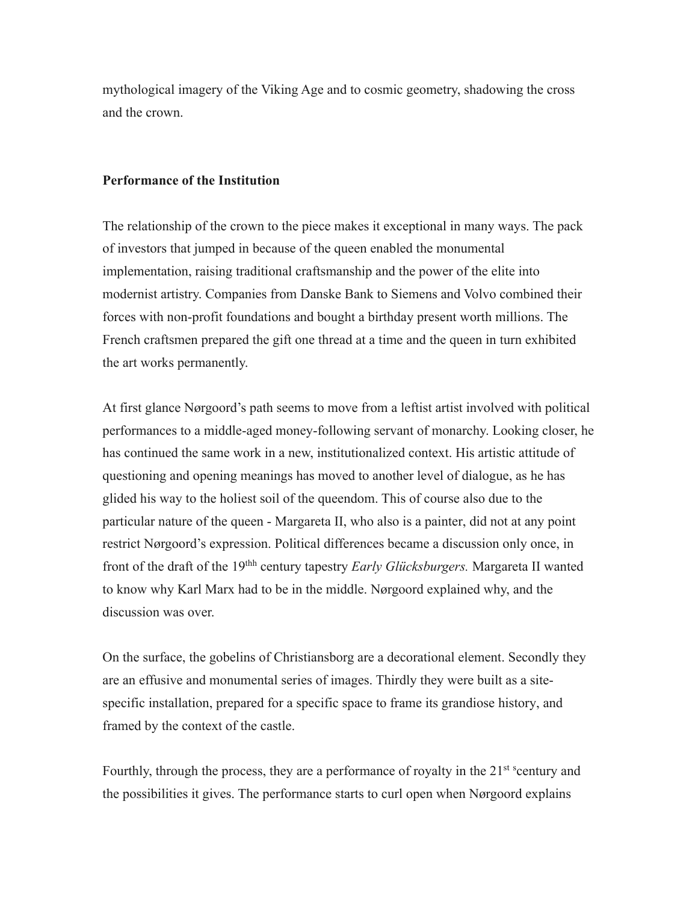mythological imagery of the Viking Age and to cosmic geometry, shadowing the cross and the crown.

### **Performance of the Institution**

The relationship of the crown to the piece makes it exceptional in many ways. The pack of investors that jumped in because of the queen enabled the monumental implementation, raising traditional craftsmanship and the power of the elite into modernist artistry. Companies from Danske Bank to Siemens and Volvo combined their forces with non-profit foundations and bought a birthday present worth millions. The French craftsmen prepared the gift one thread at a time and the queen in turn exhibited the art works permanently.

At first glance Nørgoord's path seems to move from a leftist artist involved with political performances to a middle-aged money-following servant of monarchy. Looking closer, he has continued the same work in a new, institutionalized context. His artistic attitude of questioning and opening meanings has moved to another level of dialogue, as he has glided his way to the holiest soil of the queendom. This of course also due to the particular nature of the queen - Margareta II, who also is a painter, did not at any point restrict Nørgoord's expression. Political differences became a discussion only once, in front of the draft of the 19thh century tapestry *Early Glücksburgers.* Margareta II wanted to know why Karl Marx had to be in the middle. Nørgoord explained why, and the discussion was over.

On the surface, the gobelins of Christiansborg are a decorational element. Secondly they are an effusive and monumental series of images. Thirdly they were built as a sitespecific installation, prepared for a specific space to frame its grandiose history, and framed by the context of the castle.

Fourthly, through the process, they are a performance of royalty in the 21<sup>st s</sup>century and the possibilities it gives. The performance starts to curl open when Nørgoord explains